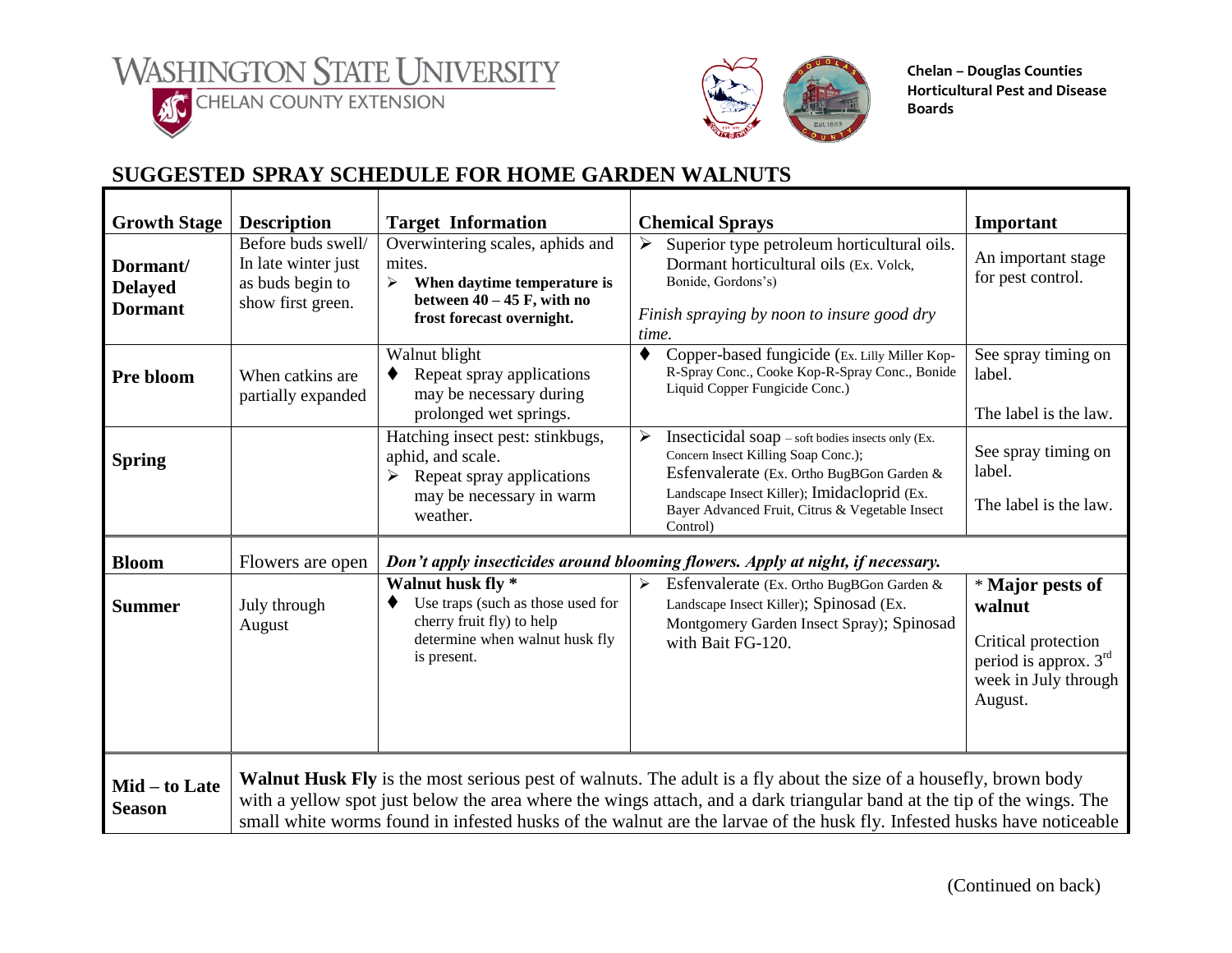l **ACCELERATE COUNTY EXTENSION** 



**Chelan – Douglas Counties Horticultural Pest and Disease Boards**

## **SUGGESTED SPRAY SCHEDULE FOR HOME GARDEN WALNUTS**

| <b>Growth Stage</b>                          | <b>Description</b>                                                                 | <b>Target Information</b>                                                                                                                   | <b>Chemical Sprays</b>                                                                                                                                                                                                                                                                                                                                                      | Important                                                                                                     |
|----------------------------------------------|------------------------------------------------------------------------------------|---------------------------------------------------------------------------------------------------------------------------------------------|-----------------------------------------------------------------------------------------------------------------------------------------------------------------------------------------------------------------------------------------------------------------------------------------------------------------------------------------------------------------------------|---------------------------------------------------------------------------------------------------------------|
| Dormant/<br><b>Delayed</b><br><b>Dormant</b> | Before buds swell/<br>In late winter just<br>as buds begin to<br>show first green. | Overwintering scales, aphids and<br>mites.<br>When daytime temperature is<br>➤<br>between $40 - 45$ F, with no<br>frost forecast overnight. | $\blacktriangleright$<br>Superior type petroleum horticultural oils.<br>Dormant horticultural oils (Ex. Volck,<br>Bonide, Gordons's)<br>Finish spraying by noon to insure good dry<br>time.                                                                                                                                                                                 | An important stage<br>for pest control.                                                                       |
| Pre bloom                                    | When catkins are<br>partially expanded                                             | Walnut blight<br>Repeat spray applications<br>may be necessary during<br>prolonged wet springs.                                             | ♦<br>Copper-based fungicide (Ex. Lilly Miller Kop-<br>R-Spray Conc., Cooke Kop-R-Spray Conc., Bonide<br>Liquid Copper Fungicide Conc.)                                                                                                                                                                                                                                      | See spray timing on<br>label.<br>The label is the law.                                                        |
| <b>Spring</b>                                |                                                                                    | Hatching insect pest: stinkbugs,<br>aphid, and scale.<br>Repeat spray applications<br>may be necessary in warm<br>weather.                  | ≻<br>Insecticidal soap – soft bodies insects only (Ex.<br>Concern Insect Killing Soap Conc.);<br>Esfenvalerate (Ex. Ortho BugBGon Garden &<br>Landscape Insect Killer); Imidacloprid (Ex.<br>Bayer Advanced Fruit, Citrus & Vegetable Insect<br>Control)                                                                                                                    | See spray timing on<br>label.<br>The label is the law.                                                        |
| <b>Bloom</b>                                 | Flowers are open                                                                   |                                                                                                                                             | Don't apply insecticides around blooming flowers. Apply at night, if necessary.                                                                                                                                                                                                                                                                                             |                                                                                                               |
| <b>Summer</b>                                | July through<br>August                                                             | Walnut husk fly *<br>Use traps (such as those used for<br>cherry fruit fly) to help<br>determine when walnut husk fly<br>is present.        | Esfenvalerate (Ex. Ortho BugBGon Garden &<br>➤<br>Landscape Insect Killer); Spinosad (Ex.<br>Montgomery Garden Insect Spray); Spinosad<br>with Bait FG-120.                                                                                                                                                                                                                 | * Major pests of<br>walnut<br>Critical protection<br>period is approx. 3rd<br>week in July through<br>August. |
| Mid – to Late<br><b>Season</b>               |                                                                                    |                                                                                                                                             | <b>Walnut Husk Fly</b> is the most serious pest of walnuts. The adult is a fly about the size of a housefly, brown body<br>with a yellow spot just below the area where the wings attach, and a dark triangular band at the tip of the wings. The<br>small white worms found in infested husks of the walnut are the larvae of the husk fly. Infested husks have noticeable |                                                                                                               |